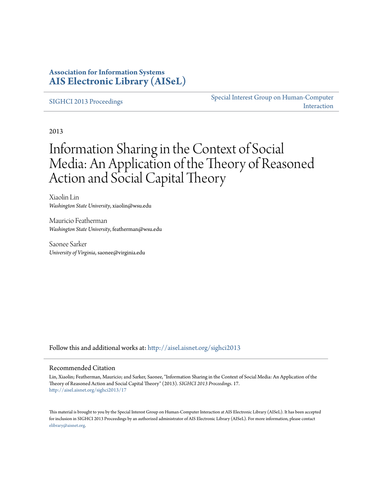### **Association for Information Systems [AIS Electronic Library \(AISeL\)](http://aisel.aisnet.org?utm_source=aisel.aisnet.org%2Fsighci2013%2F17&utm_medium=PDF&utm_campaign=PDFCoverPages)**

#### [SIGHCI 2013 Proceedings](http://aisel.aisnet.org/sighci2013?utm_source=aisel.aisnet.org%2Fsighci2013%2F17&utm_medium=PDF&utm_campaign=PDFCoverPages)

[Special Interest Group on Human-Computer](http://aisel.aisnet.org/sighci?utm_source=aisel.aisnet.org%2Fsighci2013%2F17&utm_medium=PDF&utm_campaign=PDFCoverPages) [Interaction](http://aisel.aisnet.org/sighci?utm_source=aisel.aisnet.org%2Fsighci2013%2F17&utm_medium=PDF&utm_campaign=PDFCoverPages)

2013

# Information Sharing in the Context of Social Media: An Application of the Theory of Reasoned Action and Social Capital Theory

Xiaolin Lin *Washington State University*, xiaolin@wsu.edu

Mauricio Featherman *Washington State University*, featherman@wsu.edu

Saonee Sarker *University of Virginia*, saonee@virginia.edu

Follow this and additional works at: [http://aisel.aisnet.org/sighci2013](http://aisel.aisnet.org/sighci2013?utm_source=aisel.aisnet.org%2Fsighci2013%2F17&utm_medium=PDF&utm_campaign=PDFCoverPages)

#### Recommended Citation

Lin, Xiaolin; Featherman, Mauricio; and Sarker, Saonee, "Information Sharing in the Context of Social Media: An Application of the Theory of Reasoned Action and Social Capital Theory" (2013). *SIGHCI 2013 Proceedings*. 17. [http://aisel.aisnet.org/sighci2013/17](http://aisel.aisnet.org/sighci2013/17?utm_source=aisel.aisnet.org%2Fsighci2013%2F17&utm_medium=PDF&utm_campaign=PDFCoverPages)

This material is brought to you by the Special Interest Group on Human-Computer Interaction at AIS Electronic Library (AISeL). It has been accepted for inclusion in SIGHCI 2013 Proceedings by an authorized administrator of AIS Electronic Library (AISeL). For more information, please contact [elibrary@aisnet.org.](mailto:elibrary@aisnet.org%3E)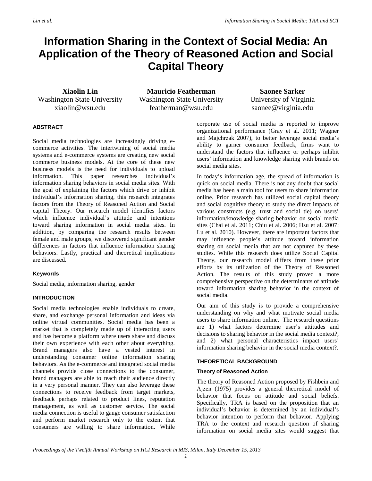## **Information Sharing in the Context of Social Media: An Application of the Theory of Reasoned Action and Social Capital Theory**

**Xiaolin Lin** Washington State University xiaolin@wsu.edu

**Mauricio Featherman** Washington State University featherman@wsu.edu

**Saonee Sarker** University of Virginia saonee@virginia.edu

#### **ABSTRACT**

Social media technologies are increasingly driving ecommerce activities. The intertwining of social media systems and e-commerce systems are creating new social commerce business models. At the core of these new business models is the need for individuals to upload information. This paper researches individual's information sharing behaviors in social media sites. With the goal of explaining the factors which drive or inhibit individual's information sharing, this research integrates factors from the Theory of Reasoned Action and Social capital Theory. Our research model identifies factors which influence individual's attitude and intentions toward sharing information in social media sites. In addition, by comparing the research results between female and male groups, we discovered significant gender differences in factors that influence information sharing behaviors. Lastly, practical and theoretical implications are discussed.

#### **Keywords**

Social media, information sharing, gender

#### **INTRODUCTION**

Social media technologies enable individuals to create, share, and exchange personal information and ideas via online virtual communities. Social media has been a market that is completely made up of interacting users and has become a platform where users share and discuss their own experience with each other about everything. Brand managers also have a vested interest in understanding consumer online information sharing behaviors. As the e-commerce and integrated social media channels provide close connections to the consumer, brand managers are able to reach their audience directly in a very personal manner. They can also leverage these connections to receive feedback from target markets, feedback perhaps related to product lines, reputation management, as well as customer service. The social media connection is useful to gauge consumer satisfaction and perform market research only to the extent that consumers are willing to share information. While

corporate use of social media is reported to improve organizational performance [\(Gray et al. 2011;](#page-5-0) [Wagner](#page-5-1)  [and Majchrzak 2007\)](#page-5-1), to better leverage social media's ability to garner consumer feedback, firms want to understand the factors that influence or perhaps inhibit users' information and knowledge sharing with brands on social media sites.

In today's information age, the spread of information is quick on social media. There is not any doubt that social media has been a main tool for users to share information online. Prior research has utilized social capital theory and social cognitive theory to study the direct impacts of various constructs (e.g. trust and social tie) on users' information/knowledge sharing behavior on social media sites [\(Chai et al. 2011;](#page-5-2) [Chiu et al. 2006;](#page-5-3) [Hsu et al. 2007;](#page-5-4) [Lu et al. 2010\)](#page-5-5). However, there are important factors that may influence people's attitude toward information sharing on social media that are not captured by these studies. While this research does utilize Social Capital Theory, our research model differs from these prior efforts by its utilization of the Theory of Reasoned Action. The results of this study proved a more comprehensive perspective on the determinants of attitude toward information sharing behavior in the context of social media.

Our aim of this study is to provide a comprehensive understanding on why and what motivate social media users to share information online. The research questions are 1) what factors determine user's attitudes and decisions to sharing behavior in the social media context?, and 2) what personal characteristics impact users' information sharing behavior in the social media context?.

#### **THEORETICAL BACKGROUND**

#### **Theory of Reasoned Action**

The theory of Reasoned Action proposed by [Fishbein and](#page-5-6)  [Ajzen \(1975\)](#page-5-6) provides a general theoretical model of behavior that focus on attitude and social beliefs. Specifically, TRA is based on the proposition that an individual's behavior is determined by an individual's behavior intention to perform that behavior. Applying TRA to the context and research question of sharing information on social media sites would suggest that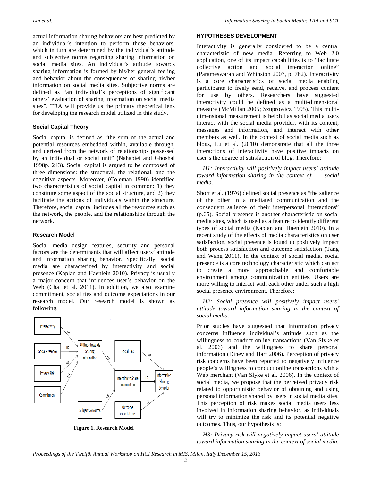actual information sharing behaviors are best predicted by an individual's intention to perform those behaviors, which in turn are determined by the individual's attitude and subjective norms regarding sharing information on social media sites. An individual's attitude towards sharing information is formed by his/her general feeling and behavior about the consequences of sharing his/her information on social media sites. Subjective norms are defined as "an individual's perceptions of significant others' evaluation of sharing information on social media sites". TRA will provide us the primary theoretical lens for developing the research model utilized in this study.

#### **Social Capital Theory**

Social capital is defined as "the sum of the actual and potential resources embedded within, available through, and derived from the network of relationships possessed by an individual or social unit" [\(Nahapiet and Ghoshal](#page-5-7)  [1998p. 243\)](#page-5-7). Social capital is argued to be composed of three dimensions: the structural, the relational, and the cognitive aspects. Moreover, [\(Coleman 1990\)](#page-5-8) identified two characteristics of social capital in common: 1) they constitute some aspect of the social structure, and 2) they facilitate the actions of individuals within the structure. Therefore, social capital includes all the resources such as the network, the people, and the relationships through the network.

#### **Research Model**

Social media design features, security and personal factors are the determinants that will affect users' attitude and information sharing behavior. Specifically, social media are characterized by interactivity and social presence [\(Kaplan and Haenlein 2010\)](#page-5-9). Privacy is usually a major concern that influences user's behavior on the Web [\(Chai et al. 2011\)](#page-5-2). In addition, we also examine commitment, social ties and outcome expectations in our research model. Our research model is shown as following.



**Figure 1. Research Model**

#### **HYPOTHESES DEVELOPMENT**

Interactivity is generally considered to be a central characteristic of new media. Referring to Web 2.0 application, one of its impact capabilities is to "facilitate collective action and social interaction online" [\(Parameswaran and Whinston 2007, p. 762\)](#page-5-10). Interactivity is a core characteristics of social media enabling participants to freely send, receive, and process content for use by others. Researchers have suggested interactivity could be defined as a multi-dimensional measure [\(McMillan 2005;](#page-5-11) [Szuprowicz 1995\)](#page-5-12). This multidimensional measurement is helpful as social media users interact with the social media provider, with its content, messages and information, and interact with other members as well. In the context of social media such as blogs, [Lu et al. \(2010\)](#page-5-5) demonstrate that all the three interactions of interactivity have positive impacts on user's the degree of satisfaction of blog. Therefore:

 *H1: Interactivity will positively impact users' attitude toward information sharing in the context of social media.*

[Short et al. \(1976\)](#page-5-13) defined social presence as "the salience of the other in a mediated communication and the consequent salience of their interpersonal interactions" (p.65). Social presence is another characteristic on social media sites, which is used as a feature to identify different types of social media [\(Kaplan and Haenlein 2010\)](#page-5-9). In a recent study of the effects of media characteristics on user satisfaction, social presence is found to positively impact both process satisfaction and outcome satisfaction [\(Tang](#page-5-14)  [and Wang 2011\)](#page-5-14). In the context of social media, social presence is a core technology characteristic which can act to create a more approachable and comfortable environment among communication entities. Users are more willing to interact with each other under such a high social presence environment. Therefore:

 *H2: Social presence will positively impact users' attitude toward information sharing in the context of social media.*

Prior studies have suggested that information privacy concerns influence individual's attitude such as the willingness to conduct online transactions [\(Van Slyke et](#page-5-15)  [al. 2006\)](#page-5-15) and the willingness to share personal information [\(Dinev and Hart 2006\)](#page-5-16). Perception of privacy risk concerns have been reported to negatively influence people's willingness to conduct online transactions with a Web merchant [\(Van Slyke et al. 2006\)](#page-5-15). In the context of social media, we propose that the perceived privacy risk related to opportunistic behavior of obtaining and using personal information shared by users in social media sites. This perception of risk makes social media users less involved in information sharing behavior, as individuals will try to minimize the risk and its potential negative outcomes. Thus, our hypothesis is:

 *H3: Privacy risk will negatively impact users' attitude toward information sharing in the context of social media.*

*Proceedings of the Twelfth Annual Workshop on HCI Research in MIS, Milan, Italy December 15, 2013*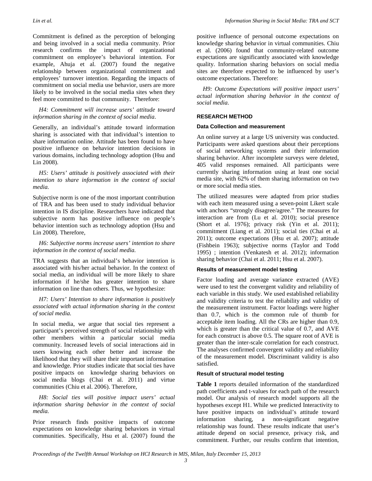Commitment is defined as the perception of belonging and being involved in a social media community. Prior research confirms the impact of organizational commitment on employee's behavioral intention. For example, [Ahuja et al. \(2007\)](#page-5-17) found the negative relationship between organizational commitment and employees' turnover intention. Regarding the impacts of commitment on social media use behavior, users are more likely to be involved in the social media sites when they feel more committed to that community. Therefore:

 *H4: Commitment will increase users' attitude toward information sharing in the context of social media*.

Generally, an individual's attitude toward information sharing is associated with that individual's intention to share information online. Attitude has been found to have positive influence on behavior intention decisions in various domains, including technology adoption [\(Hsu and](#page-5-18)  [Lin 2008\)](#page-5-18).

 *H5: Users' attitude is positively associated with their intention to share information in the context of social media.*

Subjective norm is one of the most important contribution of TRA and has been used to study individual behavior intention in IS discipline. Researchers have indicated that subjective norm has positive influence on people's behavior intention such as technology adoption [\(Hsu and](#page-5-18)  [Lin 2008\)](#page-5-18). Therefore,

#### *H6: Subjective norms increase users' intention to share information in the context of social media.*

TRA suggests that an individual's behavior intention is associated with his/her actual behavior. In the context of social media, an individual will be more likely to share information if he/she has greater intention to share information on line than others. Thus, we hypothesize:

 *H7: Users' Intention to share information is positively associated with actual information sharing in the context of social media.*

In social media, we argue that social ties represent a participant's perceived strength of social relationship with other members within a particular social media community. Increased levels of social interactions aid in users knowing each other better and increase the likelihood that they will share their important information and knowledge. Prior studies indicate that social ties have positive impacts on knowledge sharing behaviors on social media blogs [\(Chai et al. 2011\)](#page-5-2) and virtue communities [\(Chiu et al. 2006\)](#page-5-3). Therefore,

 *H8: Social ties will positive impact users' actual information sharing behavior in the context of social media.*

Prior research finds positive impacts of outcome expectations on knowledge sharing behaviors in virtual communities. Specifically, [Hsu et al. \(2007\)](#page-5-4) found the positive influence of personal outcome expectations on knowledge sharing behavior in virtual communities. [Chiu](#page-5-3)  [et al. \(2006\)](#page-5-3) found that community-related outcome expectations are significantly associated with knowledge quality. Information sharing behaviors on social media sites are therefore expected to be influenced by user's outcome expectations. Therefore:

 *H9: Outcome Expectations will positive impact users' actual information sharing behavior in the context of social media.*

#### **RESEARCH METHOD**

#### **Data Collection and measurement**

An online survey at a large US university was conducted. Participants were asked questions about their perceptions of social networking systems and their information sharing behavior. After incomplete surveys were deleted, 405 valid responses remained. All participants were currently sharing information using at least one social media site, with 62% of them sharing information on two or more social media sties.

The utilized measures were adapted from prior studies with each item measured using a seven-point Likert scale with anchors "strongly disagree/agree." The measures for interaction are from [\(Lu et al.](#page-5-5) 2010); social presence [\(Short et al. 1976\)](#page-5-13); privacy risk [\(Yin et al. 2011\)](#page-5-19); commitment [\(Liang et al. 2011\)](#page-5-20); social ties [\(Chai et al.](#page-5-2)  [2011\)](#page-5-2); outcome expectations [\(Hsu et al. 2007\)](#page-5-4); attitude [\(Fishbein 1963\)](#page-5-21); subjective norms [\(Taylor and Todd](#page-5-22)  [1995\)](#page-5-22) ; intention [\(Venkatesh et al. 2012\)](#page-5-23); information sharing behavior [\(Chai et al. 2011;](#page-5-2) [Hsu et al. 2007\)](#page-5-4).

#### **Results of measurement model testing**

Factor loading and average variance extracted (AVE) were used to test the convergent validity and reliability of each variable in this study. We used established reliability and validity criteria to test the reliability and validity of the measurement instrument. Factor loadings were higher than 0.7, which is the common rule of thumb for acceptable item loading. All the CRs are higher than 0.9, which is greater than the critical value of 0.7, and AVE for each construct is above 0.5. The square root of AVE is greater than the inter-scale correlation for each construct. The analyses confirmed convergent validity and reliability of the measurement model. Discriminant validity is also satisfied.

#### **Result of structural model testing**

**Table 1** reports detailed information of the standardized path coefficients and t-values for each path of the research model. Our analysis of research model supports all the hypotheses except H1. While we predicted Interactivity to have positive impacts on individual's attitude toward information sharing, a non-significant negative relationship was found. These results indicate that user's attitude depend on social presence, privacy risk, and commitment. Further, our results confirm that intention,

*Proceedings of the Twelfth Annual Workshop on HCI Research in MIS, Milan, Italy December 15, 2013*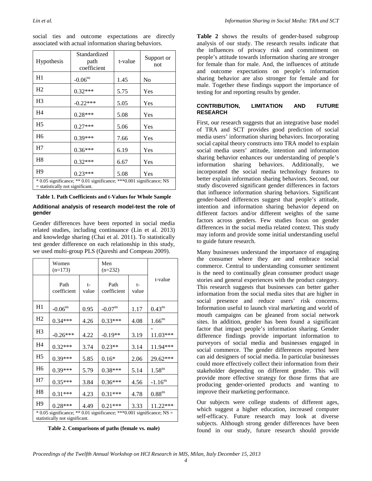| <b>Hypothesis</b>                                                                                           | Standardized<br>path<br>coefficient | t-value | Support or<br>not |  |  |  |
|-------------------------------------------------------------------------------------------------------------|-------------------------------------|---------|-------------------|--|--|--|
| H1                                                                                                          | $-0.06$ <sup>ns</sup>               | 1.45    | N <sub>0</sub>    |  |  |  |
| H <sub>2</sub>                                                                                              | $0.32***$                           | 5.75    | Yes               |  |  |  |
| H <sub>3</sub>                                                                                              | $-0.22***$                          | 5.05    | Yes               |  |  |  |
| H <sub>4</sub>                                                                                              | $0.28***$                           | 5.08    | Yes               |  |  |  |
| H <sub>5</sub>                                                                                              | $0.27***$                           | 5.06    | Yes               |  |  |  |
| H <sub>6</sub>                                                                                              | 0.39***                             | 7.66    | Yes               |  |  |  |
| H7                                                                                                          | $0.36***$                           | 6.19    | Yes               |  |  |  |
| H <sub>8</sub>                                                                                              | $0.32***$                           | 6.67    | Yes               |  |  |  |
| H <sub>9</sub>                                                                                              | $0.23***$                           | 5.08    | Yes               |  |  |  |
| * 0.05 significance; ** 0.01 significance; *** 0.001 significance; NS<br>$=$ statistically not significant. |                                     |         |                   |  |  |  |

social ties and outcome expectations are directly associated with actual information sharing behaviors.

**Table 1. Path Coefficients and t-Values for Whole Sample**

#### **Additional analysis of research model-test the role of gender**

Gender differences have been reported in social media related studies, including continuance [\(Lin et al. 2013\)](#page-5-24) and knowledge sharing [\(Chai et al. 2011\)](#page-5-2). To statistically test gender difference on each relationship in this study, we used multi-group PLS [\(Qureshi and Compeau 2009\)](#page-5-25).

|                                                                                                                | Women<br>$(n=173)$    |             | Men<br>$(n=232)$    |             |                       |  |
|----------------------------------------------------------------------------------------------------------------|-----------------------|-------------|---------------------|-------------|-----------------------|--|
|                                                                                                                | Path<br>coefficient   | t-<br>value | Path<br>coefficient | t-<br>value | t-value               |  |
| H1                                                                                                             | $-0.06$ <sup>ns</sup> | 0.95        | $-0.07^{\text{ns}}$ | 1.17        | $0.43^{ns}$           |  |
| H <sub>2</sub>                                                                                                 | $0.34***$             | 4.26        | $0.33***$           | 4.08        | $1.66$ <sup>ns</sup>  |  |
| H <sub>3</sub>                                                                                                 | $-0.26***$            | 4.22        | $-0.19**$           | 3.19        | 11.03***              |  |
| H <sub>4</sub>                                                                                                 | $0.32***$             | 3.74        | $0.23**$            | 3.14        | 11.94***              |  |
| H <sub>5</sub>                                                                                                 | $0.39***$             | 5.85        | $0.16*$             | 2.06        | 29.62***              |  |
| H <sub>6</sub>                                                                                                 | $0.39***$             | 5.79        | $0.38***$           | 5.14        | $1.58$ <sup>ns</sup>  |  |
| H7                                                                                                             | $0.35***$             | 3.84        | $0.36***$           | 4.56        | $-1.16$ <sup>ns</sup> |  |
| H <sub>8</sub>                                                                                                 | $0.31***$             | 4.23        | $0.31***$           | 4.78        | 0.88 <sup>ns</sup>    |  |
| H <sub>9</sub>                                                                                                 | $0.28***$             | 4.49        | $0.21***$           | 3.33        | 11.22***              |  |
| $*$ 0.05 significance; $**$ 0.01 significance; $**$ 0.001 significance; NS =<br>statistically not significant. |                       |             |                     |             |                       |  |

**Table 2. Comparisons of paths (female vs. male)**

**Table 2** shows the results of gender-based subgroup analysis of our study. The research results indicate that the influences of privacy risk and commitment on people's attitude towards information sharing are stronger for female than for male. And, the influences of attitude and outcome expectations on people's information sharing behavior are also stronger for female and for male. Together these findings support the importance of testing for and reporting results by gender.

#### **CONTRIBUTION, LIMITATION AND FUTURE RESEARCH**

First, our research suggests that an integrative base model of TRA and SCT provides good prediction of social media users' information sharing behaviors. Incorporating social capital theory constructs into TRA model to explain social media users' attitude, intention and information sharing behavior enhances our understanding of people's information sharing behaviors. Additionally, we incorporated the social media technology features to better explain information sharing behaviors. Second, our study discovered significant gender differences in factors that influence information sharing behaviors. Significant gender-based differences suggest that people's attitude, intention and information sharing behavior depend on different factors and/or different weights of the same factors across genders. Few studies focus on gender differences in the social media related context. This study may inform and provide some initial understanding useful to guide future research.

Many businesses understand the importance of engaging the consumer where they are and embrace social commerce. Central to understanding consumer sentiment is the need to continually glean consumer product usage stories and general experiences with the product category. This research suggests that businesses can better gather information from the social media sites that are higher in social presence and reduce users' risk concerns. Information useful to launch viral marketing and world of mouth campaigns can be gleaned from social network sites. In addition, gender has been found a significant factor that impact people's information sharing. Gender difference findings provide important information to purveyors of social media and businesses engaged in social commerce. The gender differences reported here can aid designers of social media. In particular businesses could more effectively collect their information from their stakeholder depending on different gender. This will provide more effective strategy for those firms that are producing gender-oriented products and wanting to improve their marketing performance.

Our subjects were college students of different ages, which suggest a higher education, increased computer self-efficacy. Future research may look at diverse subjects. Although strong gender differences have been found in our study, future research should provide